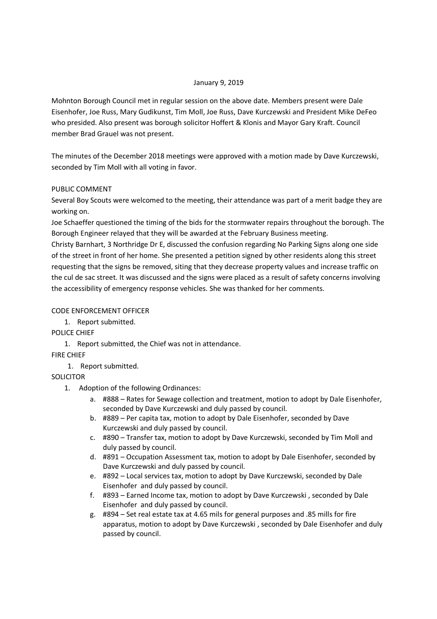### January 9, 2019

Mohnton Borough Council met in regular session on the above date. Members present were Dale Eisenhofer, Joe Russ, Mary Gudikunst, Tim Moll, Joe Russ, Dave Kurczewski and President Mike DeFeo who presided. Also present was borough solicitor Hoffert & Klonis and Mayor Gary Kraft. Council member Brad Grauel was not present.

The minutes of the December 2018 meetings were approved with a motion made by Dave Kurczewski, seconded by Tim Moll with all voting in favor.

## PUBLIC COMMENT

Several Boy Scouts were welcomed to the meeting, their attendance was part of a merit badge they are working on.

Joe Schaeffer questioned the timing of the bids for the stormwater repairs throughout the borough. The Borough Engineer relayed that they will be awarded at the February Business meeting.

Christy Barnhart, 3 Northridge Dr E, discussed the confusion regarding No Parking Signs along one side of the street in front of her home. She presented a petition signed by other residents along this street requesting that the signs be removed, siting that they decrease property values and increase traffic on the cul de sac street. It was discussed and the signs were placed as a result of safety concerns involving the accessibility of emergency response vehicles. She was thanked for her comments.

# CODE ENFORCEMENT OFFICER

1. Report submitted.

POLICE CHIEF

1. Report submitted, the Chief was not in attendance.

FIRE CHIEF

1. Report submitted.

**SOLICITOR** 

- 1. Adoption of the following Ordinances:
	- a. #888 Rates for Sewage collection and treatment, motion to adopt by Dale Eisenhofer, seconded by Dave Kurczewski and duly passed by council.
	- b. #889 Per capita tax, motion to adopt by Dale Eisenhofer, seconded by Dave Kurczewski and duly passed by council.
	- c. #890 Transfer tax, motion to adopt by Dave Kurczewski, seconded by Tim Moll and duly passed by council.
	- d. #891 Occupation Assessment tax, motion to adopt by Dale Eisenhofer, seconded by Dave Kurczewski and duly passed by council.
	- e. #892 Local services tax, motion to adopt by Dave Kurczewski, seconded by Dale Eisenhofer and duly passed by council.
	- f. #893 Earned Income tax, motion to adopt by Dave Kurczewski , seconded by Dale Eisenhofer and duly passed by council.
	- g. #894 Set real estate tax at 4.65 mils for general purposes and .85 mills for fire apparatus, motion to adopt by Dave Kurczewski , seconded by Dale Eisenhofer and duly passed by council.